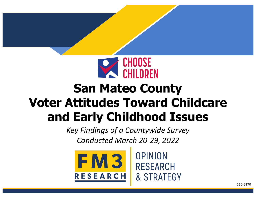

# **San Mateo County Voter Attitudes Toward Childcare and Early Childhood Issues**

*Key Findings of a Countywide Survey Conducted March 20-29, 2022*



OPINION **RESEARCH** & STRATEGY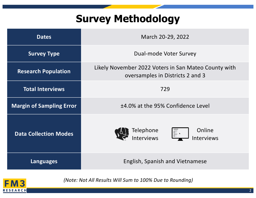# **Survey Methodology**

| <b>Dates</b>                    | March 20-29, 2022                                                                        |
|---------------------------------|------------------------------------------------------------------------------------------|
| <b>Survey Type</b>              | Dual-mode Voter Survey                                                                   |
| <b>Research Population</b>      | Likely November 2022 Voters in San Mateo County with<br>oversamples in Districts 2 and 3 |
| <b>Total Interviews</b>         | 729                                                                                      |
| <b>Margin of Sampling Error</b> | ±4.0% at the 95% Confidence Level                                                        |
| <b>Data Collection Modes</b>    | Online<br>Telephone<br>$\mathbb{E}$<br><b>Interviews</b><br><b>Interviews</b>            |
| Languages                       | <b>English, Spanish and Vietnamese</b>                                                   |



*(Note: Not All Results Will Sum to 100% Due to Rounding)*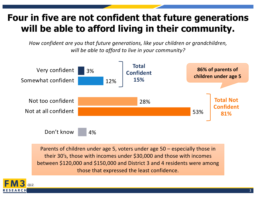#### **Four in five are not confident that future generations will be able to afford living in their community.**

*How confident are you that future generations, like your children or grandchildren, will be able to afford to live in your community?*



Parents of children under age 5, voters under age 50 – especially those in their 30's, those with incomes under \$30,000 and those with incomes between \$120,000 and \$150,000 and District 3 and 4 residents were among those that expressed the least confidence.

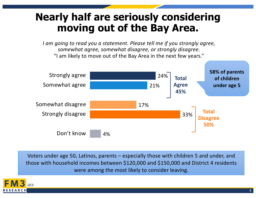## **Nearly half are seriously considering moving out of the Bay Area.**

*I am going to read you a statement. Please tell me if you strongly agree, somewhat agree, somewhat disagree, or strongly disagree.*  "I am likely to move out of the Bay Area in the next few years."



Voters under age 50, Latinos, parents – especially those with children 5 and under, and those with household incomes between \$120,000 and \$150,000 and District 4 residents were among the most likely to consider leaving.

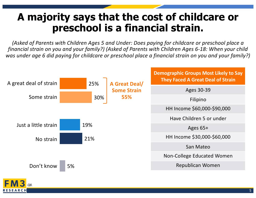## **A majority says that the cost of childcare or preschool is a financial strain.**

*(Asked of Parents with Children Ages 5 and Under: Does paying for childcare or preschool place a financial strain on you and your family?) (Asked of Parents with Children Ages 6-18: When your child was under age 6 did paying for childcare or preschool place a financial strain on you and your family?)*



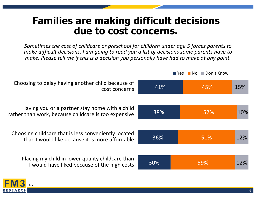#### **Families are making difficult decisions due to cost concerns.**

*Sometimes the cost of childcare or preschool for children under age 5 forces parents to make difficult decisions. I am going to read you a list of decisions some parents have to make. Please tell me if this is a decision you personally have had to make at any point.* 

41% 38% 36% 30% 45% 52% 51% 59% 15% 10% 12% 12% Choosing to delay having another child because of cost concerns Having you or a partner stay home with a child rather than work, because childcare is too expensive Choosing childcare that is less conveniently located than I would like because it is more affordable Placing my child in lower quality childcare than I would have liked because of the high costs

*Q11.*

RESEARCH



**No Don't Know**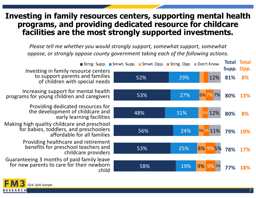#### **Investing in family resources centers, supporting mental health programs, and providing dedicated resource for childcare facilities are the most strongly supported investments.**

*Please tell me whether you would strongly support, somewhat support, somewhat oppose, or strongly oppose county government taking each of the following actions.*



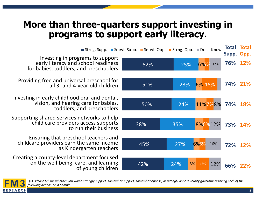#### **More than three-quarters support investing in programs to support early literacy.**

|                                                                                                                     | Strng. Supp. Smwt. Supp. Smwt. Opp. Strng. Opp. Don't Know |           |                   | <b>Total Total</b><br>Supp. Opp. |            |
|---------------------------------------------------------------------------------------------------------------------|------------------------------------------------------------|-----------|-------------------|----------------------------------|------------|
| Investing in programs to support<br>early literacy and school readiness<br>for babies, toddlers, and preschoolers   | 52%                                                        | 25%       | 6%% 12%           | 76% 12%                          |            |
| Providing free and universal preschool for<br>all 3- and 4-year-old children                                        | 51%                                                        | 23%       | 6% 15%            | 74% 21%                          |            |
| Investing in early childhood oral and dental,<br>vision, and hearing care for babies,<br>toddlers, and preschoolers | 50%                                                        | 24%       | 11%7%8%           | 74%                              | <b>18%</b> |
| Supporting shared services networks to help<br>child care providers access supports<br>to run their business        | 38%                                                        | 35%       | 8%6%12%           | 73%                              | <b>14%</b> |
| Ensuring that preschool teachers and<br>childcare providers earn the same income<br>as Kindergarten teachers        | 45%                                                        | 27%       | 6%6%<br>16%       | 72%                              | <b>12%</b> |
| Creating a county-level department focused<br>on the well-being, care, and learning<br>of young children            | 42%                                                        | 8%<br>24% | 13%<br><b>12%</b> | 66%                              |            |



*Q14. Please tell me whether you would strongly support, somewhat support, somewhat oppose, or strongly oppose county government taking each of the following actions. Split Sample*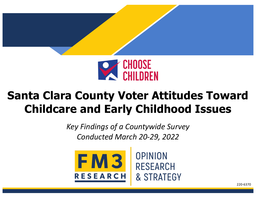

# **Santa Clara County Voter Attitudes Toward Childcare and Early Childhood Issues**

*Key Findings of a Countywide Survey Conducted March 20-29, 2022*



OPINION **RESEARCH** & STRATEGY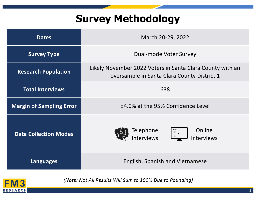# **Survey Methodology**

| <b>Dates</b>                    | March 20-29, 2022                                                                                        |  |  |
|---------------------------------|----------------------------------------------------------------------------------------------------------|--|--|
| <b>Survey Type</b>              | Dual-mode Voter Survey                                                                                   |  |  |
| <b>Research Population</b>      | Likely November 2022 Voters in Santa Clara County with an<br>oversample in Santa Clara County District 1 |  |  |
| <b>Total Interviews</b>         | 638                                                                                                      |  |  |
| <b>Margin of Sampling Error</b> | ±4.0% at the 95% Confidence Level                                                                        |  |  |
| <b>Data Collection Modes</b>    | Online<br>Telephone<br>E *<br><b>Interviews</b><br><b>Interviews</b>                                     |  |  |
| <b>Languages</b>                | English, Spanish and Vietnamese                                                                          |  |  |



*(Note: Not All Results Will Sum to 100% Due to Rounding)*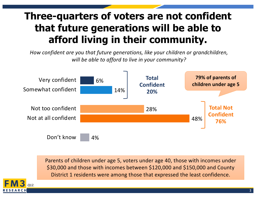# **Three-quarters of voters are not confident that future generations will be able to afford living in their community.**

*How confident are you that future generations, like your children or grandchildren, will be able to afford to live in your community?*



Parents of children under age 5, voters under age 40, those with incomes under \$30,000 and those with incomes between \$120,000 and \$150,000 and County District 1 residents were among those that expressed the least confidence.

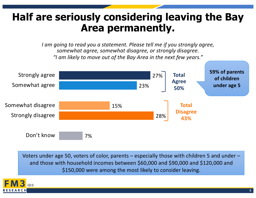## **Half are seriously considering leaving the Bay Area permanently.**

*I am going to read you a statement. Please tell me if you strongly agree, somewhat agree, somewhat disagree, or strongly disagree. "I am likely to move out of the Bay Area in the next few years."* 



Voters under age 50, voters of color, parents – especially those with children 5 and under – and those with household incomes between \$60,000 and \$90,000 and \$120,000 and \$150,000 were among the most likely to consider leaving.

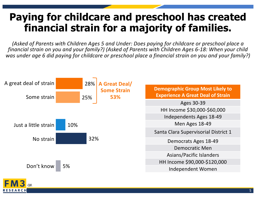## **Paying for childcare and preschool has created financial strain for a majority of families.**

*(Asked of Parents with Children Ages 5 and Under: Does paying for childcare or preschool place a financial strain on you and your family?) (Asked of Parents with Children Ages 6-18: When your child was under age 6 did paying for childcare or preschool place a financial strain on you and your family?)*



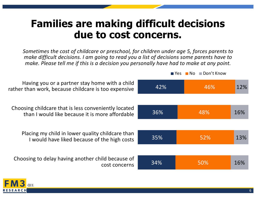#### **Families are making difficult decisions due to cost concerns.**

*Sometimes the cost of childcare or preschool, for children under age 5, forces parents to make difficult decisions. I am going to read you a list of decisions some parents have to make. Please tell me if this is a decision you personally have had to make at any point.* 

**No Don't Know** 

42% 36% 35% 34% 46% 48% 52% 50% 12% 16% 13% 16% Having you or a partner stay home with a child rather than work, because childcare is too expensive Choosing childcare that is less conveniently located than I would like because it is more affordable Placing my child in lower quality childcare than I would have liked because of the high costs Choosing to delay having another child because of cost concerns

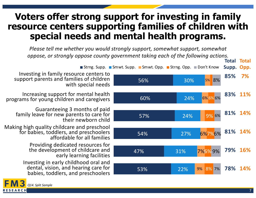#### **Voters offer strong support for investing in family resource centers supporting families of children with special needs and mental health programs.**

*Please tell me whether you would strongly support, somewhat support, somewhat oppose, or strongly oppose county government taking each of the following actions.*



Investing in family resource centers to support parents and families of children with special needs

Increasing support for mental health programs for young children and caregivers

Guaranteeing 3 months of paid family leave for new parents to care for their newborn child

Making high quality childcare and preschool for babies, toddlers, and preschoolers affordable for all families

Providing dedicated resources for the development of childcare and early learning facilities

Investing in early childhood oral and dental, vision, and hearing care for babies, toddlers, and preschoolers

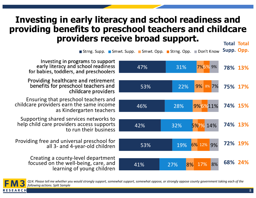#### **Investing in early literacy and school readiness and providing benefits to preschool teachers and childcare providers receive broad support.**

**Total Total** 

Strng. Supp. Smwt. Supp. Smwt. Opp. Strng. Opp. Don't Know **Supp. Opp.**



Investing in programs to support early literacy and school readiness for babies, toddlers, and preschoolers

Providing healthcare and retirement benefits for preschool teachers and childcare providers

Ensuring that preschool teachers and childcare providers earn the same income as Kindergarten teachers

Supporting shared services networks to help child care providers access supports to run their business

Providing free and universal preschool for all 3- and 4-year-old children

> Creating a county-level department focused on the well-being, care, and learning of young children



*Q14. Please tell me whether you would strongly support, somewhat support, somewhat oppose, or strongly oppose county government taking each of the following actions. Split Sample*